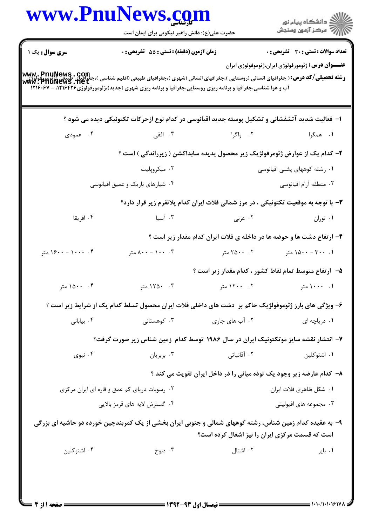|                        | حضرت علی(ع): دانش راهبر نیکویی برای ایمان است                                                                                                                                                                                                                                        |                                                                                     | ر دانشگاه پيام نور<br>ا∛هرکز آزمون وسنجش                   |
|------------------------|--------------------------------------------------------------------------------------------------------------------------------------------------------------------------------------------------------------------------------------------------------------------------------------|-------------------------------------------------------------------------------------|------------------------------------------------------------|
| <b>سری سوال :</b> یک ۱ | زمان آزمون (دقيقه) : تستى : 55 آتشريحى : 0                                                                                                                                                                                                                                           |                                                                                     | <b>تعداد سوالات : تستی : 30 ٪ تشریحی : 0</b>               |
|                        | www PnuNews . Com<br> و <b>شته تحصیلی/کد درس:</b> ( جغرافیای انسانی (روستایی )،جغرافیای انسانی (شهری )،جغرافیای انتشاری بازمینی میکنی (آنهمور<br> www. PhuNews . Net<br>آب و هوا شناسی،جغرافیا و برنامه ریزی روستایی،جغرافیا و برنامه ریزی شهری (جدید)،ژئومورفولوژی۱۲۱۶۴۲۶ - ۱۲۱۶۰۶۷ |                                                                                     | <b>عنــــوان درس:</b> ژئومورفولوژی ایران،ژئوموفولوزی ایران |
|                        | ا– فعالیت شدید آتشفشانی و تشکیل پوسته جدید اقیانوسی در کدام نوع ازحرکات تکتونیکی دیده می شود ؟                                                                                                                                                                                       |                                                                                     |                                                            |
| ۰۴ عمودی               |                                                                                                                                                                                                                                                                                      | ۲. واگرا انتقی است کا منطق می                                                       | ۱. همگرا                                                   |
|                        |                                                                                                                                                                                                                                                                                      | ۲- کدام یک از عوارض ژئومرفولژیک زیر محصول پدیده سابداکشن ( زیرراندگی ) است ؟        |                                                            |
|                        | ۰۲ میکروپلیت                                                                                                                                                                                                                                                                         |                                                                                     | ۰۱ رشته کوههای پشتی اقیانوسی                               |
|                        | ۰۴ شیارهای باریک و عمیق اقیانوسی                                                                                                                                                                                                                                                     |                                                                                     | ۰۳ منطقه آرام اقیانوسی                                     |
|                        |                                                                                                                                                                                                                                                                                      | ۳- با توجه به موقعیت تکتونیکی ، در مرز شمالی فلات ایران کدام پلاتفرم زیر قرار دارد؟ |                                                            |
| ۰۴ افریقا              | ۰۳ آسیا                                                                                                                                                                                                                                                                              | ۰۲ عربی                                                                             | ۰۱ توران                                                   |
|                        |                                                                                                                                                                                                                                                                                      | ۴- ارتفاع دشت ها و حوضه ها در داخله ی فلات ایران کدام مقدار زیر است ؟               |                                                            |
| ۰۴ - ۱۶۰۰ - ۱۶۰۰ متر   | ۰. ۰۰۱ - ۸۰۰ متر                                                                                                                                                                                                                                                                     | ۲. ۲۵۰۰ متر                                                                         | ۰۱ - ۳۰۰ - ۱۵۰۰ متر                                        |
|                        |                                                                                                                                                                                                                                                                                      | ۵–۔ ارتفاع متوسط تمام نقاط کشور ، کدام مقدار زیر است ؟                              |                                                            |
| ۰۴ متر                 | ۰۳ - ۱۲۵۰ متر                                                                                                                                                                                                                                                                        | 1. ۱۰۰۰ متر است. ۲۰۰۰ ۲۰۰۰ متر                                                      |                                                            |
|                        | ۶– ویژگی های بارز ژئوموفولژیک حاکم بر ۖ دشت های داخلی فلات ایران محصول تسلط کدام یک از شرایط زیر است ؟                                                                                                                                                                               |                                                                                     |                                                            |
| ۰۴ بياباني             | ۰۳ کوهستانی                                                                                                                                                                                                                                                                          | ۰۲ آب های جاری                                                                      | ۰۱ دریاچه ای                                               |
|                        | ۷– انتشار نقشه سایز موتکتونیک ایران در سال ۱۹۸۶ توسط کدام زمین شناس زیر صورت گرفت؟                                                                                                                                                                                                   |                                                                                     |                                                            |
| ۰۴ نبوی                | ۰۳ بربريان                                                                                                                                                                                                                                                                           | ۰۲ آقانباتی                                                                         | ۰۱ اشتوكلين                                                |
|                        |                                                                                                                                                                                                                                                                                      | ۸– کدام عارضه زیر وجود یک توده میانی را در داخل ایران تقویت می کند ؟                |                                                            |
|                        | ۰۲ رسوبات دریای کم عمق و قاره ای ایران مرکزی                                                                                                                                                                                                                                         |                                                                                     | ۰۱ شکل ظاهری فلات ایران                                    |
|                        | ۰۴ گسترش لایه های قرمز بالایی                                                                                                                                                                                                                                                        |                                                                                     | ۰۳ مجموعه های افیولیتی                                     |
|                        | ۹- به عقیده کدام زمین شناس، رشته کوههای شمالی و جنوبی ایران بخشی از یک کمربندچین خورده دو حاشیه ای بزرگی                                                                                                                                                                             | است که قسمت مرکزی ایران را نیز اشغال کرده است؟                                      |                                                            |
| ۰۴ اشتوكلين            | ۰۳ دبوخ                                                                                                                                                                                                                                                                              | ۰۲ اشتال                                                                            | ۰۱ بایر                                                    |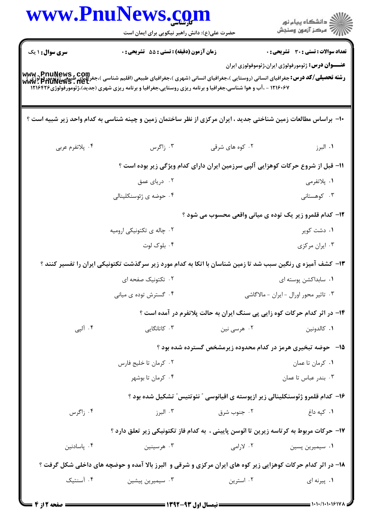|                        | www.PnuNews.com                                                                                                                                                                                                                                                                          |                 |                                                                                 |
|------------------------|------------------------------------------------------------------------------------------------------------------------------------------------------------------------------------------------------------------------------------------------------------------------------------------|-----------------|---------------------------------------------------------------------------------|
|                        | حضرت علی(ع): دانش راهبر نیکویی برای ایمان است                                                                                                                                                                                                                                            |                 | ر<br>دانشڪاه پيام نور)<br>اڳ مرڪز آزمون وسنڊش                                   |
| <b>سری سوال :</b> ۱ یک | زمان آزمون (دقیقه) : تستی : 55 آتشریحی : 0                                                                                                                                                                                                                                               |                 | <b>تعداد سوالات : تستی : 30 ٪ تشریحی : 0</b>                                    |
|                        | www . PnuNews , Com<br>ر <b>شته تحصیلی/کد درس:</b> جغرافیای انسانی (روستایی )،جغرافیای انسانی (شهری )،جغرافیای طبیعی (اقلیم شناسی )،جغرافینی (ژئ<br>www . PhuNews . net<br>۱۲۱۶۰۶۷ - ،آب و هوا شناسی،جغرافیا و برنامه ریزی روستایی،جغرافیا و برنامه ریزی شهری (جدید)،ژئومورفولوژی۱۲۱۶۴۲۶ |                 | <b>عنـــوان درس:</b> ژئومورفولوژی ایران،ژئوموفولوزی ایران                       |
|                        | +ا– براساس مطالعات زمین شناختی جدید ، ایران مرکزی از نظر ساختمان زمین و چینه شناسی به کدام واحد زیر شبیه است ؟                                                                                                                                                                           |                 |                                                                                 |
| ۰۴ پلاتفرم عربي        | ۰۳ زاگرس                                                                                                                                                                                                                                                                                 | ۰۲ کوه های شرقی | ۰۱ البرز                                                                        |
|                        |                                                                                                                                                                                                                                                                                          |                 | 1۱- قبل از شروع حرکات کوهزایی آلپی سرزمین ایران دارای کدام ویژگی زیر بوده است ؟ |
|                        | ۰۲ دریای عمق                                                                                                                                                                                                                                                                             |                 | ۱. پلاتفرمي                                                                     |
|                        | ۰۴ حوضه ی ژئوسنکلینالی                                                                                                                                                                                                                                                                   |                 | ۰۳ کوهستانی                                                                     |
|                        |                                                                                                                                                                                                                                                                                          |                 | ۱۲- کدام قلمرو زیر یک توده ی میانی واقعی محسوب می شود ؟                         |
|                        | ۰۲ چاله ی تکتونیکی ارومیه                                                                                                                                                                                                                                                                |                 | ۰۱ دشت کویر                                                                     |
|                        | ۰۴ بلوک لوت                                                                                                                                                                                                                                                                              |                 | ۰۳ ایران مرکزی                                                                  |
|                        | ۱۳- کشف آمیزه ی رنگین سبب شد تا زمین شناسان با اتکا به کدام مورد زیر سرگذشت تکتونیکی ایران را تفسیر کنند ؟                                                                                                                                                                               |                 |                                                                                 |
|                        | ۰۲ تکتونیک صفحه ای                                                                                                                                                                                                                                                                       |                 | ۰۱ سابداکشن پوسته ای                                                            |
|                        | ۰۴ گسترش توده ی میانی                                                                                                                                                                                                                                                                    |                 | ۰۳ تاثیر محور اورال - ایران - مالاگاشی                                          |
|                        |                                                                                                                                                                                                                                                                                          |                 | ۱۴- در اثر کدام حرکات کوه زایی پی سنگ ایران به حالت پلاتفرم در آمده است ؟       |
| ۰۴ آلیی                | ۰۳ کاتانگایی                                                                                                                                                                                                                                                                             | ۰۲ هرسي نين     | ٠١. كالدونين                                                                    |
|                        |                                                                                                                                                                                                                                                                                          |                 | ۱۵– حوضه تبخیری هرمز در کدام محدوده زیرمشخص گسترده شده بود ؟                    |
|                        | ۰۲ کرمان تا خلیج فارس                                                                                                                                                                                                                                                                    |                 | ٠١ كرمان تا عمان                                                                |
|                        | ۰۴ کرمان تا بوشهر                                                                                                                                                                                                                                                                        |                 | ۰۳ بندر عباس تا عمان                                                            |
|                        |                                                                                                                                                                                                                                                                                          |                 | ۱۶– کدام قلمرو ژئوسنکلینالی زیر ازپوسته ی اقیانوسی " نئوتتیس" تشکیل شده بود ؟   |
| ۰۴ زاگرس               | ۰۳ البرز                                                                                                                                                                                                                                                                                 | ۰۲ جنوب شرق     | ۰۱ کپه داغ                                                                      |
|                        | ۱۷– حرکات مربوط به کرتاسه زیرین تا ائوسن پایینی ، به کدام فاز تکتونیکی زیر تعلق دارد ؟                                                                                                                                                                                                   |                 |                                                                                 |
| ۰۴ پاسادنین            | ۰۳ هرسینین                                                                                                                                                                                                                                                                               | ۲. لارامی       | ۰۱ سیمیرین پسین                                                                 |
|                        | ۱۸- در اثر کدام حرکات کوهزایی زیر کوه های ایران مرکزی و شرقی و البرز بالا آمده و حوضچه های داخلی شکل گرفت ؟                                                                                                                                                                              |                 |                                                                                 |
| ۰۴ آسنتیک              | ۰۳ سیمیرین پیشین                                                                                                                                                                                                                                                                         | ۰۲ استرین       | ۰۱ پیرنه ای                                                                     |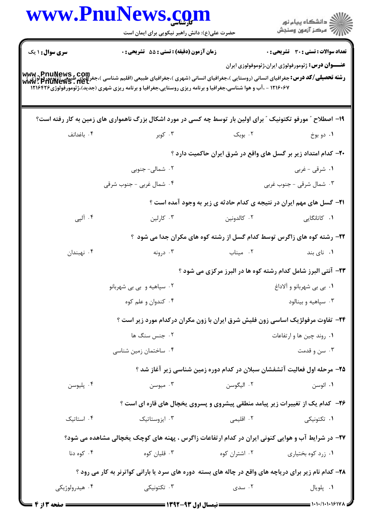|                        | www.PnuNews.com<br>حضرت علی(ع): دانش راهبر نیکویی برای ایمان است                                                                                                                        |                           | ر<br>دانشڪاه پيام نور)<br>ا∛ مرڪز آزمون وسنڊش                                |
|------------------------|-----------------------------------------------------------------------------------------------------------------------------------------------------------------------------------------|---------------------------|------------------------------------------------------------------------------|
| <b>سری سوال : ۱ یک</b> | زمان آزمون (دقیقه) : تستی : 55 تشریحی : 0                                                                                                                                               |                           | <b>تعداد سوالات : تستی : 30 ٪ تشریحی : 0</b>                                 |
|                        | -<br>Www . PnuNews , Com<br>Www : PhuNews . Net<br>Www : PhuNews . Net<br>۱۲۱۶۰۶۷ - ،آب و هوا شناسی،جغرافیا و برنامه ریزی روستایی،جغرافیا و برنامه ریزی شهری (جدید)،ژئومورفولوژی۱۲۱۶۴۲۶ |                           | <b>عنــــوان درس:</b> ژئومورفولوژی ایران،ژئوموفولوزی ایران                   |
|                        | ۱۹- اصطلاح ″ مورفو تکتونیک ″ برای اولین بار توسط چه کسی در مورد اشکال بزرگ ناهمواری های زمین به کار رفته است؟                                                                           |                           |                                                                              |
| ۰۴ باغدانف             | ۰۳ کوبر                                                                                                                                                                                 | ۰۲ بوبک                   | ۰۱ دو بوخ                                                                    |
|                        |                                                                                                                                                                                         |                           | ۲۰– کدام امتداد زیر بر گسل های واقع در شرق ایران حاکمیت دارد ؟               |
|                        | ۰۲ شمالی- جنوبی                                                                                                                                                                         |                           | ۰۱ شرقی - غربی                                                               |
|                        | ۰۴ شمال غربی - جنوب شرقی                                                                                                                                                                |                           | ۰۳ شمال شرقی - جنوب غربی                                                     |
|                        |                                                                                                                                                                                         |                           | <b>۲۱</b> - گسل های مهم ایران در نتیجه ی کدام حادثه ی زیر به وجود آمده است ؟ |
| ۰۴ آلپی                | ۰۳ کارلین                                                                                                                                                                               | ۰۲ کالدونین               | <b>۱.</b> کاتانگایی                                                          |
|                        |                                                                                                                                                                                         |                           | ۲۲- رشته کوه های زاگرس توسط کدام گسل از رشته کوه های مکران جدا می شود ؟      |
| ۰۴ نهبندان             | ۰۳ درونه $\cdot$                                                                                                                                                                        | ۰۲ میناب                  | ۰۱ نای بند                                                                   |
|                        |                                                                                                                                                                                         |                           | ۲۳- آنتی البرز شامل کدام رشته کوه ها در البرز مرکزی می شود ؟                 |
|                        | ۰۲ سپاهیه و بی بی شهربانو                                                                                                                                                               | ۰۱ یی بی شهربانو و آلاداغ |                                                                              |
|                        | ۰۴ کندوان و علم کوه                                                                                                                                                                     |                           | ۰۳ سپاهیه و بینالود                                                          |
|                        | <b>۲۴</b> - تفاوت مرفولژیک اساسی زون فلیش شرق ایران با زون مکران درکدام مورد زیر است ؟                                                                                                  |                           |                                                                              |
|                        | ۰۲ جنس سنگ ها                                                                                                                                                                           |                           | ۰۱ روند چین ها و ارتفاعات                                                    |
|                        | ۰۴ ساختمان زمین شناسی                                                                                                                                                                   |                           | ۰۳ سن و قدمت                                                                 |
|                        |                                                                                                                                                                                         |                           | ۲۵– مرحله اول فعالیت آتشفشان سبلان در کدام دوره زمین شناسی زیر آغاز شد ؟     |
| ۰۴ پليوسن              | ۰۳ میوسن                                                                                                                                                                                | ۰۲ اليگوسن                | ۰۱ ائوسن                                                                     |
|                        | ۲۶- کدام یک از تغییرات زیر پیامد منطقی پیشروی و پسروی یخچال های قاره ای است ؟                                                                                                           |                           |                                                                              |
| ۰۴ استاتیک             | ۰۳ ایزوستاتیک                                                                                                                                                                           | ۰۲ اقلیمی                 | ۰۱ تکتونیکی                                                                  |
|                        | ۲۷- در شرایط آب و هوایی کنونی ایران در کدام ارتفاعات زاگرس ، پهنه های کوچک یخچالی مشاهده می شود؟                                                                                        |                           |                                                                              |
| ۰۴ کوه دنا             | ۰۳ قلیان کوه                                                                                                                                                                            | ۰۲ اشتران کوه             | ۰۱ زرد کوه بختیاری                                                           |
|                        | ۲۸- کدام نام زیر برای دریاچه های واقع در چاله های بسته دوره های سرد یا بارانی کواترنر به کار می رود ؟                                                                                   |                           |                                                                              |
| ۰۴ هیدرولوژیکی         | ۰۳ تکتونیک <i>ی</i>                                                                                                                                                                     | ۰۲ سدی                    | ٠١. پلويال                                                                   |
| <b>= صفحه 3 از 4 =</b> | ـــــــــ نیمسال اول ۹۳-۱۳۹۲ ـــــــــ                                                                                                                                                  |                           | = 1・1・/1・1・1۶178                                                             |